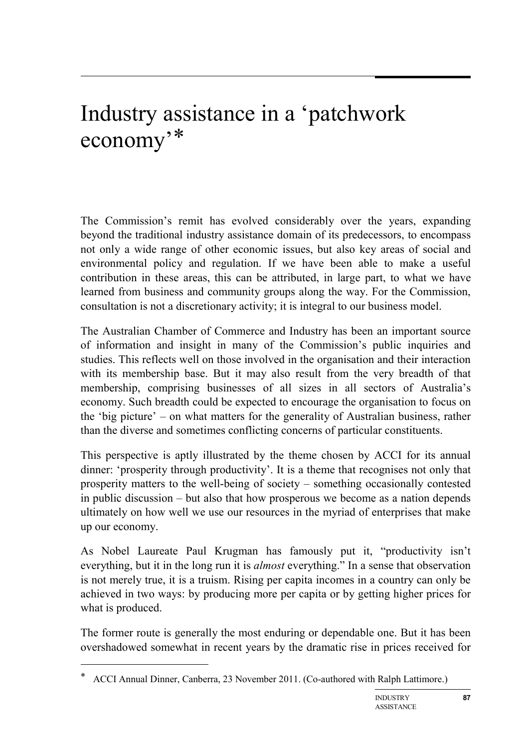# Industry assistance in a 'patchwork economy'[\\*](#page-0-0)

The Commission's remit has evolved considerably over the years, expanding beyond the traditional industry assistance domain of its predecessors, to encompass not only a wide range of other economic issues, but also key areas of social and environmental policy and regulation. If we have been able to make a useful contribution in these areas, this can be attributed, in large part, to what we have learned from business and community groups along the way. For the Commission, consultation is not a discretionary activity; it is integral to our business model.

The Australian Chamber of Commerce and Industry has been an important source of information and insight in many of the Commission's public inquiries and studies. This reflects well on those involved in the organisation and their interaction with its membership base. But it may also result from the very breadth of that membership, comprising businesses of all sizes in all sectors of Australia's economy. Such breadth could be expected to encourage the organisation to focus on the 'big picture' – on what matters for the generality of Australian business, rather than the diverse and sometimes conflicting concerns of particular constituents.

This perspective is aptly illustrated by the theme chosen by ACCI for its annual dinner: 'prosperity through productivity'. It is a theme that recognises not only that prosperity matters to the well-being of society – something occasionally contested in public discussion – but also that how prosperous we become as a nation depends ultimately on how well we use our resources in the myriad of enterprises that make up our economy.

As Nobel Laureate Paul Krugman has famously put it, "productivity isn't everything, but it in the long run it is *almost* everything." In a sense that observation is not merely true, it is a truism. Rising per capita incomes in a country can only be achieved in two ways: by producing more per capita or by getting higher prices for what is produced.

The former route is generally the most enduring or dependable one. But it has been overshadowed somewhat in recent years by the dramatic rise in prices received for

-

<span id="page-0-0"></span><sup>\*</sup> ACCI Annual Dinner, Canberra, 23 November 2011. (Co-authored with Ralph Lattimore.)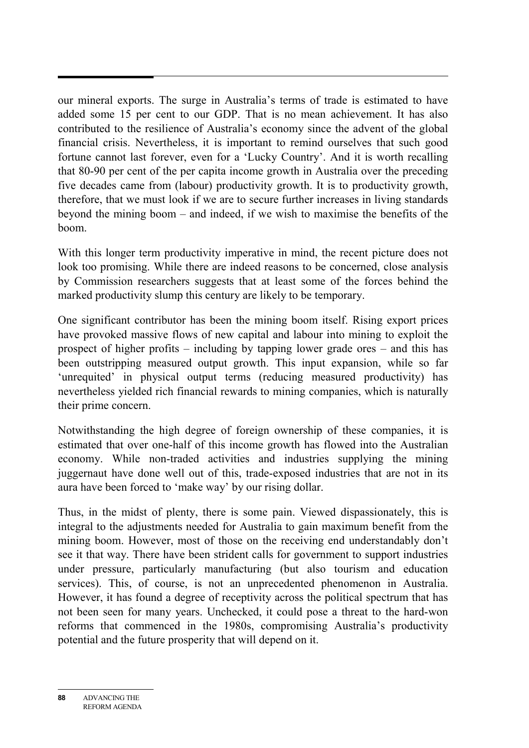our mineral exports. The surge in Australia's terms of trade is estimated to have added some 15 per cent to our GDP. That is no mean achievement. It has also contributed to the resilience of Australia's economy since the advent of the global financial crisis. Nevertheless, it is important to remind ourselves that such good fortune cannot last forever, even for a 'Lucky Country'. And it is worth recalling that 80-90 per cent of the per capita income growth in Australia over the preceding five decades came from (labour) productivity growth. It is to productivity growth, therefore, that we must look if we are to secure further increases in living standards beyond the mining boom – and indeed, if we wish to maximise the benefits of the boom.

With this longer term productivity imperative in mind, the recent picture does not look too promising. While there are indeed reasons to be concerned, close analysis by Commission researchers suggests that at least some of the forces behind the marked productivity slump this century are likely to be temporary.

One significant contributor has been the mining boom itself. Rising export prices have provoked massive flows of new capital and labour into mining to exploit the prospect of higher profits – including by tapping lower grade ores – and this has been outstripping measured output growth. This input expansion, while so far 'unrequited' in physical output terms (reducing measured productivity) has nevertheless yielded rich financial rewards to mining companies, which is naturally their prime concern.

Notwithstanding the high degree of foreign ownership of these companies, it is estimated that over one-half of this income growth has flowed into the Australian economy. While non-traded activities and industries supplying the mining juggernaut have done well out of this, trade-exposed industries that are not in its aura have been forced to 'make way' by our rising dollar.

Thus, in the midst of plenty, there is some pain. Viewed dispassionately, this is integral to the adjustments needed for Australia to gain maximum benefit from the mining boom. However, most of those on the receiving end understandably don't see it that way. There have been strident calls for government to support industries under pressure, particularly manufacturing (but also tourism and education services). This, of course, is not an unprecedented phenomenon in Australia. However, it has found a degree of receptivity across the political spectrum that has not been seen for many years. Unchecked, it could pose a threat to the hard-won reforms that commenced in the 1980s, compromising Australia's productivity potential and the future prosperity that will depend on it.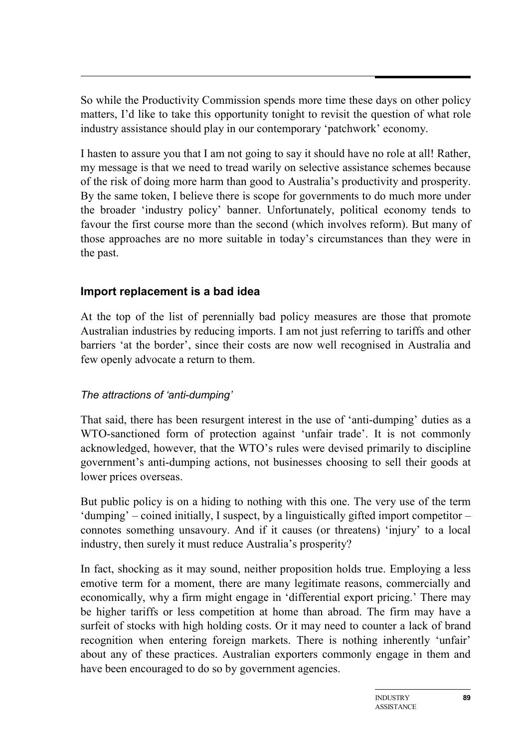So while the Productivity Commission spends more time these days on other policy matters, I'd like to take this opportunity tonight to revisit the question of what role industry assistance should play in our contemporary 'patchwork' economy.

I hasten to assure you that I am not going to say it should have no role at all! Rather, my message is that we need to tread warily on selective assistance schemes because of the risk of doing more harm than good to Australia's productivity and prosperity. By the same token, I believe there is scope for governments to do much more under the broader 'industry policy' banner. Unfortunately, political economy tends to favour the first course more than the second (which involves reform). But many of those approaches are no more suitable in today's circumstances than they were in the past.

## **Import replacement is a bad idea**

At the top of the list of perennially bad policy measures are those that promote Australian industries by reducing imports. I am not just referring to tariffs and other barriers 'at the border', since their costs are now well recognised in Australia and few openly advocate a return to them.

### *The attractions of 'anti-dumping'*

That said, there has been resurgent interest in the use of 'anti-dumping' duties as a WTO-sanctioned form of protection against 'unfair trade'. It is not commonly acknowledged, however, that the WTO's rules were devised primarily to discipline government's anti-dumping actions, not businesses choosing to sell their goods at lower prices overseas.

But public policy is on a hiding to nothing with this one. The very use of the term 'dumping' – coined initially, I suspect, by a linguistically gifted import competitor – connotes something unsavoury. And if it causes (or threatens) 'injury' to a local industry, then surely it must reduce Australia's prosperity?

In fact, shocking as it may sound, neither proposition holds true. Employing a less emotive term for a moment, there are many legitimate reasons, commercially and economically, why a firm might engage in 'differential export pricing.' There may be higher tariffs or less competition at home than abroad. The firm may have a surfeit of stocks with high holding costs. Or it may need to counter a lack of brand recognition when entering foreign markets. There is nothing inherently 'unfair' about any of these practices. Australian exporters commonly engage in them and have been encouraged to do so by government agencies.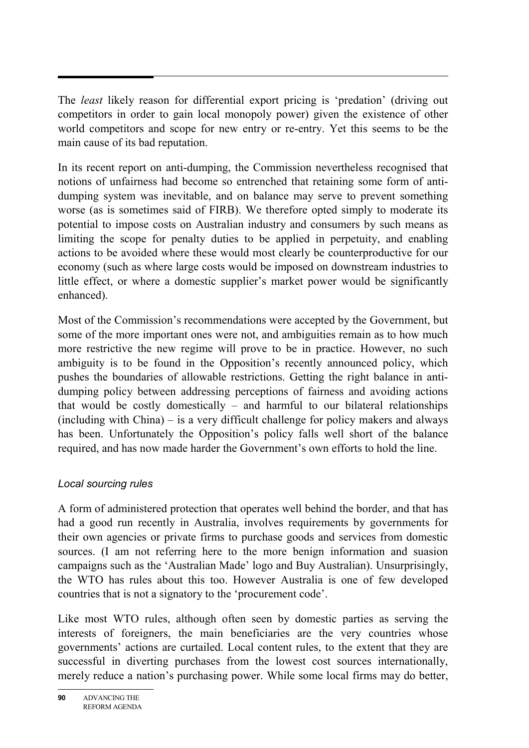The *least* likely reason for differential export pricing is 'predation' (driving out competitors in order to gain local monopoly power) given the existence of other world competitors and scope for new entry or re-entry. Yet this seems to be the main cause of its bad reputation.

In its recent report on anti-dumping, the Commission nevertheless recognised that notions of unfairness had become so entrenched that retaining some form of antidumping system was inevitable, and on balance may serve to prevent something worse (as is sometimes said of FIRB). We therefore opted simply to moderate its potential to impose costs on Australian industry and consumers by such means as limiting the scope for penalty duties to be applied in perpetuity, and enabling actions to be avoided where these would most clearly be counterproductive for our economy (such as where large costs would be imposed on downstream industries to little effect, or where a domestic supplier's market power would be significantly enhanced).

Most of the Commission's recommendations were accepted by the Government, but some of the more important ones were not, and ambiguities remain as to how much more restrictive the new regime will prove to be in practice. However, no such ambiguity is to be found in the Opposition's recently announced policy, which pushes the boundaries of allowable restrictions. Getting the right balance in antidumping policy between addressing perceptions of fairness and avoiding actions that would be costly domestically – and harmful to our bilateral relationships (including with China) – is a very difficult challenge for policy makers and always has been. Unfortunately the Opposition's policy falls well short of the balance required, and has now made harder the Government's own efforts to hold the line.

### *Local sourcing rules*

A form of administered protection that operates well behind the border, and that has had a good run recently in Australia, involves requirements by governments for their own agencies or private firms to purchase goods and services from domestic sources. (I am not referring here to the more benign information and suasion campaigns such as the 'Australian Made' logo and Buy Australian). Unsurprisingly, the WTO has rules about this too. However Australia is one of few developed countries that is not a signatory to the 'procurement code'.

Like most WTO rules, although often seen by domestic parties as serving the interests of foreigners, the main beneficiaries are the very countries whose governments' actions are curtailed. Local content rules, to the extent that they are successful in diverting purchases from the lowest cost sources internationally, merely reduce a nation's purchasing power. While some local firms may do better,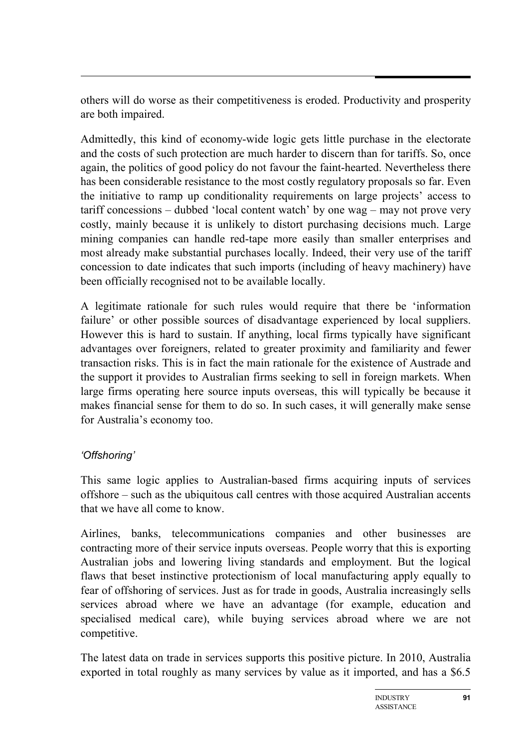others will do worse as their competitiveness is eroded. Productivity and prosperity are both impaired.

Admittedly, this kind of economy-wide logic gets little purchase in the electorate and the costs of such protection are much harder to discern than for tariffs. So, once again, the politics of good policy do not favour the faint-hearted. Nevertheless there has been considerable resistance to the most costly regulatory proposals so far. Even the initiative to ramp up conditionality requirements on large projects' access to tariff concessions – dubbed 'local content watch' by one wag – may not prove very costly, mainly because it is unlikely to distort purchasing decisions much. Large mining companies can handle red-tape more easily than smaller enterprises and most already make substantial purchases locally. Indeed, their very use of the tariff concession to date indicates that such imports (including of heavy machinery) have been officially recognised not to be available locally.

A legitimate rationale for such rules would require that there be 'information failure' or other possible sources of disadvantage experienced by local suppliers. However this is hard to sustain. If anything, local firms typically have significant advantages over foreigners, related to greater proximity and familiarity and fewer transaction risks. This is in fact the main rationale for the existence of Austrade and the support it provides to Australian firms seeking to sell in foreign markets. When large firms operating here source inputs overseas, this will typically be because it makes financial sense for them to do so. In such cases, it will generally make sense for Australia's economy too.

## *'Offshoring'*

This same logic applies to Australian-based firms acquiring inputs of services offshore – such as the ubiquitous call centres with those acquired Australian accents that we have all come to know.

Airlines, banks, telecommunications companies and other businesses are contracting more of their service inputs overseas. People worry that this is exporting Australian jobs and lowering living standards and employment. But the logical flaws that beset instinctive protectionism of local manufacturing apply equally to fear of offshoring of services. Just as for trade in goods, Australia increasingly sells services abroad where we have an advantage (for example, education and specialised medical care), while buying services abroad where we are not competitive.

The latest data on trade in services supports this positive picture. In 2010, Australia exported in total roughly as many services by value as it imported, and has a \$6.5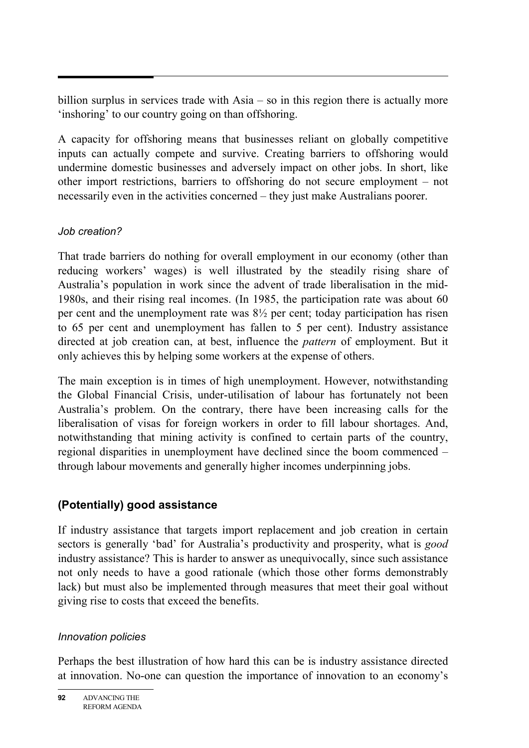billion surplus in services trade with Asia – so in this region there is actually more 'inshoring' to our country going on than offshoring.

A capacity for offshoring means that businesses reliant on globally competitive inputs can actually compete and survive. Creating barriers to offshoring would undermine domestic businesses and adversely impact on other jobs. In short, like other import restrictions, barriers to offshoring do not secure employment – not necessarily even in the activities concerned – they just make Australians poorer.

### *Job creation?*

That trade barriers do nothing for overall employment in our economy (other than reducing workers' wages) is well illustrated by the steadily rising share of Australia's population in work since the advent of trade liberalisation in the mid-1980s, and their rising real incomes. (In 1985, the participation rate was about 60 per cent and the unemployment rate was 8½ per cent; today participation has risen to 65 per cent and unemployment has fallen to 5 per cent). Industry assistance directed at job creation can, at best, influence the *pattern* of employment. But it only achieves this by helping some workers at the expense of others.

The main exception is in times of high unemployment. However, notwithstanding the Global Financial Crisis, under-utilisation of labour has fortunately not been Australia's problem. On the contrary, there have been increasing calls for the liberalisation of visas for foreign workers in order to fill labour shortages. And, notwithstanding that mining activity is confined to certain parts of the country, regional disparities in unemployment have declined since the boom commenced – through labour movements and generally higher incomes underpinning jobs.

## **(Potentially) good assistance**

If industry assistance that targets import replacement and job creation in certain sectors is generally 'bad' for Australia's productivity and prosperity, what is *good* industry assistance? This is harder to answer as unequivocally, since such assistance not only needs to have a good rationale (which those other forms demonstrably lack) but must also be implemented through measures that meet their goal without giving rise to costs that exceed the benefits.

## *Innovation policies*

Perhaps the best illustration of how hard this can be is industry assistance directed at innovation. No-one can question the importance of innovation to an economy's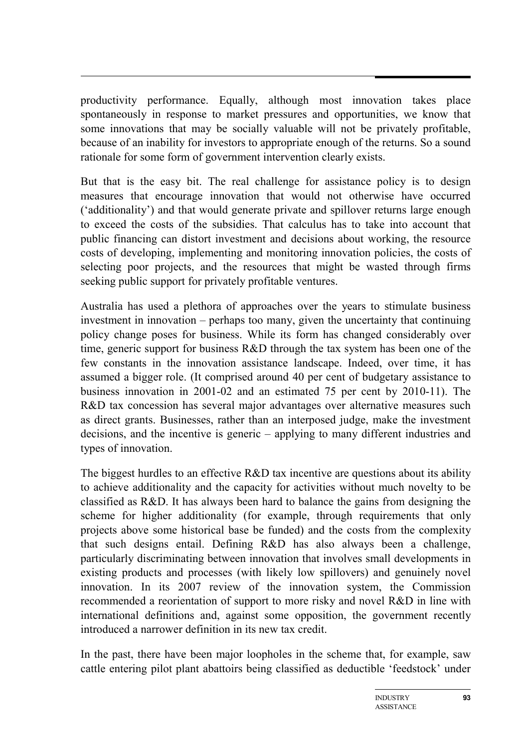productivity performance. Equally, although most innovation takes place spontaneously in response to market pressures and opportunities, we know that some innovations that may be socially valuable will not be privately profitable, because of an inability for investors to appropriate enough of the returns. So a sound rationale for some form of government intervention clearly exists.

But that is the easy bit. The real challenge for assistance policy is to design measures that encourage innovation that would not otherwise have occurred ('additionality') and that would generate private and spillover returns large enough to exceed the costs of the subsidies. That calculus has to take into account that public financing can distort investment and decisions about working, the resource costs of developing, implementing and monitoring innovation policies, the costs of selecting poor projects, and the resources that might be wasted through firms seeking public support for privately profitable ventures.

Australia has used a plethora of approaches over the years to stimulate business investment in innovation – perhaps too many, given the uncertainty that continuing policy change poses for business. While its form has changed considerably over time, generic support for business R&D through the tax system has been one of the few constants in the innovation assistance landscape. Indeed, over time, it has assumed a bigger role. (It comprised around 40 per cent of budgetary assistance to business innovation in 2001-02 and an estimated 75 per cent by 2010-11). The R&D tax concession has several major advantages over alternative measures such as direct grants. Businesses, rather than an interposed judge, make the investment decisions, and the incentive is generic – applying to many different industries and types of innovation.

The biggest hurdles to an effective R&D tax incentive are questions about its ability to achieve additionality and the capacity for activities without much novelty to be classified as R&D. It has always been hard to balance the gains from designing the scheme for higher additionality (for example, through requirements that only projects above some historical base be funded) and the costs from the complexity that such designs entail. Defining R&D has also always been a challenge, particularly discriminating between innovation that involves small developments in existing products and processes (with likely low spillovers) and genuinely novel innovation. In its 2007 review of the innovation system, the Commission recommended a reorientation of support to more risky and novel R&D in line with international definitions and, against some opposition, the government recently introduced a narrower definition in its new tax credit.

In the past, there have been major loopholes in the scheme that, for example, saw cattle entering pilot plant abattoirs being classified as deductible 'feedstock' under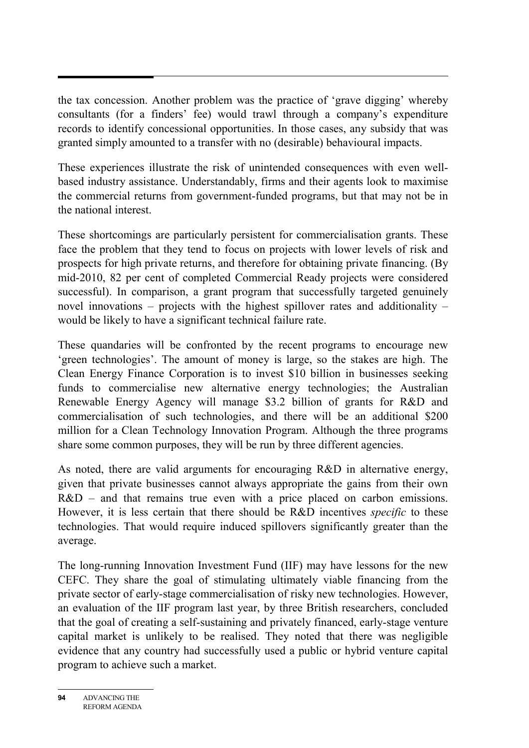the tax concession. Another problem was the practice of 'grave digging' whereby consultants (for a finders' fee) would trawl through a company's expenditure records to identify concessional opportunities. In those cases, any subsidy that was granted simply amounted to a transfer with no (desirable) behavioural impacts.

These experiences illustrate the risk of unintended consequences with even wellbased industry assistance. Understandably, firms and their agents look to maximise the commercial returns from government-funded programs, but that may not be in the national interest.

These shortcomings are particularly persistent for commercialisation grants. These face the problem that they tend to focus on projects with lower levels of risk and prospects for high private returns, and therefore for obtaining private financing. (By mid-2010, 82 per cent of completed Commercial Ready projects were considered successful). In comparison, a grant program that successfully targeted genuinely novel innovations – projects with the highest spillover rates and additionality – would be likely to have a significant technical failure rate.

These quandaries will be confronted by the recent programs to encourage new 'green technologies'. The amount of money is large, so the stakes are high. The Clean Energy Finance Corporation is to invest \$10 billion in businesses seeking funds to commercialise new alternative energy technologies; the Australian Renewable Energy Agency will manage \$3.2 billion of grants for R&D and commercialisation of such technologies, and there will be an additional \$200 million for a Clean Technology Innovation Program. Although the three programs share some common purposes, they will be run by three different agencies.

As noted, there are valid arguments for encouraging R&D in alternative energy, given that private businesses cannot always appropriate the gains from their own R&D – and that remains true even with a price placed on carbon emissions. However, it is less certain that there should be R&D incentives *specific* to these technologies. That would require induced spillovers significantly greater than the average.

The long-running Innovation Investment Fund (IIF) may have lessons for the new CEFC. They share the goal of stimulating ultimately viable financing from the private sector of early-stage commercialisation of risky new technologies. However, an evaluation of the IIF program last year, by three British researchers, concluded that the goal of creating a self-sustaining and privately financed, early-stage venture capital market is unlikely to be realised. They noted that there was negligible evidence that any country had successfully used a public or hybrid venture capital program to achieve such a market.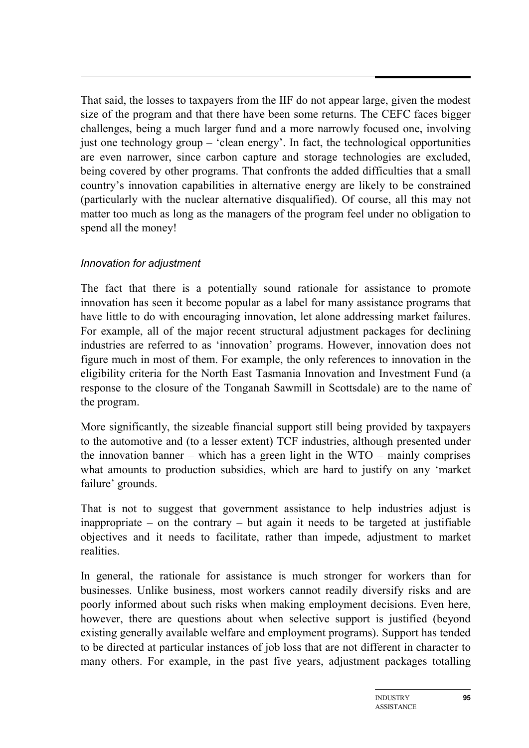That said, the losses to taxpayers from the IIF do not appear large, given the modest size of the program and that there have been some returns. The CEFC faces bigger challenges, being a much larger fund and a more narrowly focused one, involving just one technology group – 'clean energy'. In fact, the technological opportunities are even narrower, since carbon capture and storage technologies are excluded, being covered by other programs. That confronts the added difficulties that a small country's innovation capabilities in alternative energy are likely to be constrained (particularly with the nuclear alternative disqualified). Of course, all this may not matter too much as long as the managers of the program feel under no obligation to spend all the money!

### *Innovation for adjustment*

The fact that there is a potentially sound rationale for assistance to promote innovation has seen it become popular as a label for many assistance programs that have little to do with encouraging innovation, let alone addressing market failures. For example, all of the major recent structural adjustment packages for declining industries are referred to as 'innovation' programs. However, innovation does not figure much in most of them. For example, the only references to innovation in the eligibility criteria for the North East Tasmania Innovation and Investment Fund (a response to the closure of the Tonganah Sawmill in Scottsdale) are to the name of the program.

More significantly, the sizeable financial support still being provided by taxpayers to the automotive and (to a lesser extent) TCF industries, although presented under the innovation banner – which has a green light in the WTO – mainly comprises what amounts to production subsidies, which are hard to justify on any 'market failure' grounds.

That is not to suggest that government assistance to help industries adjust is inappropriate – on the contrary – but again it needs to be targeted at justifiable objectives and it needs to facilitate, rather than impede, adjustment to market realities.

In general, the rationale for assistance is much stronger for workers than for businesses. Unlike business, most workers cannot readily diversify risks and are poorly informed about such risks when making employment decisions. Even here, however, there are questions about when selective support is justified (beyond existing generally available welfare and employment programs). Support has tended to be directed at particular instances of job loss that are not different in character to many others. For example, in the past five years, adjustment packages totalling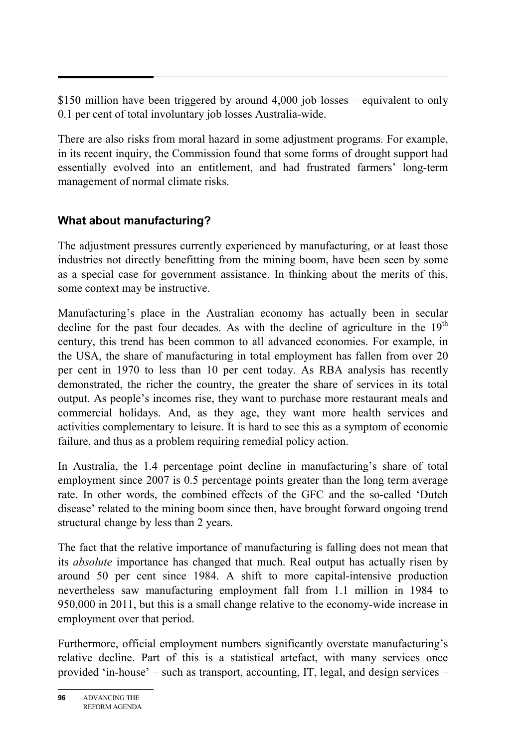\$150 million have been triggered by around 4,000 job losses – equivalent to only 0.1 per cent of total involuntary job losses Australia-wide.

There are also risks from moral hazard in some adjustment programs. For example, in its recent inquiry, the Commission found that some forms of drought support had essentially evolved into an entitlement, and had frustrated farmers' long-term management of normal climate risks.

## **What about manufacturing?**

The adjustment pressures currently experienced by manufacturing, or at least those industries not directly benefitting from the mining boom, have been seen by some as a special case for government assistance. In thinking about the merits of this, some context may be instructive.

Manufacturing's place in the Australian economy has actually been in secular decline for the past four decades. As with the decline of agriculture in the  $19<sup>th</sup>$ century, this trend has been common to all advanced economies. For example, in the USA, the share of manufacturing in total employment has fallen from over 20 per cent in 1970 to less than 10 per cent today. As RBA analysis has recently demonstrated, the richer the country, the greater the share of services in its total output. As people's incomes rise, they want to purchase more restaurant meals and commercial holidays. And, as they age, they want more health services and activities complementary to leisure. It is hard to see this as a symptom of economic failure, and thus as a problem requiring remedial policy action.

In Australia, the 1.4 percentage point decline in manufacturing's share of total employment since 2007 is 0.5 percentage points greater than the long term average rate. In other words, the combined effects of the GFC and the so-called 'Dutch disease' related to the mining boom since then, have brought forward ongoing trend structural change by less than 2 years.

The fact that the relative importance of manufacturing is falling does not mean that its *absolute* importance has changed that much. Real output has actually risen by around 50 per cent since 1984. A shift to more capital-intensive production nevertheless saw manufacturing employment fall from 1.1 million in 1984 to 950,000 in 2011, but this is a small change relative to the economy-wide increase in employment over that period.

Furthermore, official employment numbers significantly overstate manufacturing's relative decline. Part of this is a statistical artefact, with many services once provided 'in-house' – such as transport, accounting, IT, legal, and design services –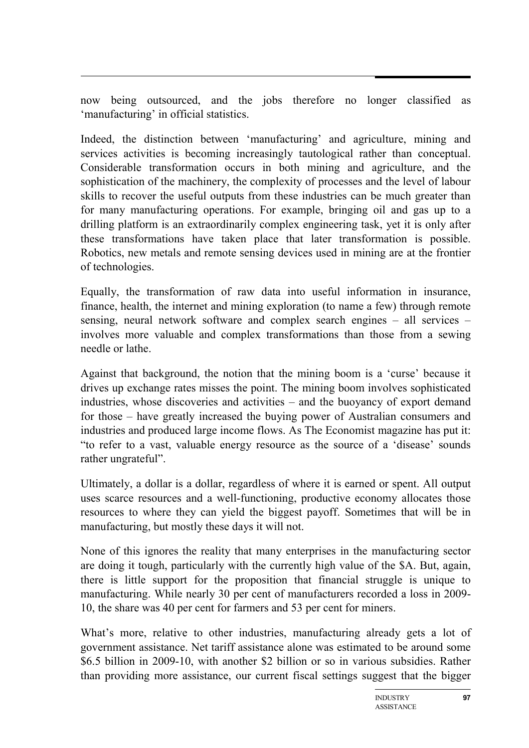now being outsourced, and the jobs therefore no longer classified as 'manufacturing' in official statistics.

Indeed, the distinction between 'manufacturing' and agriculture, mining and services activities is becoming increasingly tautological rather than conceptual. Considerable transformation occurs in both mining and agriculture, and the sophistication of the machinery, the complexity of processes and the level of labour skills to recover the useful outputs from these industries can be much greater than for many manufacturing operations. For example, bringing oil and gas up to a drilling platform is an extraordinarily complex engineering task, yet it is only after these transformations have taken place that later transformation is possible. Robotics, new metals and remote sensing devices used in mining are at the frontier of technologies.

Equally, the transformation of raw data into useful information in insurance, finance, health, the internet and mining exploration (to name a few) through remote sensing, neural network software and complex search engines – all services – involves more valuable and complex transformations than those from a sewing needle or lathe.

Against that background, the notion that the mining boom is a 'curse' because it drives up exchange rates misses the point. The mining boom involves sophisticated industries, whose discoveries and activities – and the buoyancy of export demand for those – have greatly increased the buying power of Australian consumers and industries and produced large income flows. As The Economist magazine has put it: "to refer to a vast, valuable energy resource as the source of a 'disease' sounds rather ungrateful".

Ultimately, a dollar is a dollar, regardless of where it is earned or spent. All output uses scarce resources and a well-functioning, productive economy allocates those resources to where they can yield the biggest payoff. Sometimes that will be in manufacturing, but mostly these days it will not.

None of this ignores the reality that many enterprises in the manufacturing sector are doing it tough, particularly with the currently high value of the \$A. But, again, there is little support for the proposition that financial struggle is unique to manufacturing. While nearly 30 per cent of manufacturers recorded a loss in 2009- 10, the share was 40 per cent for farmers and 53 per cent for miners.

What's more, relative to other industries, manufacturing already gets a lot of government assistance. Net tariff assistance alone was estimated to be around some \$6.5 billion in 2009-10, with another \$2 billion or so in various subsidies. Rather than providing more assistance, our current fiscal settings suggest that the bigger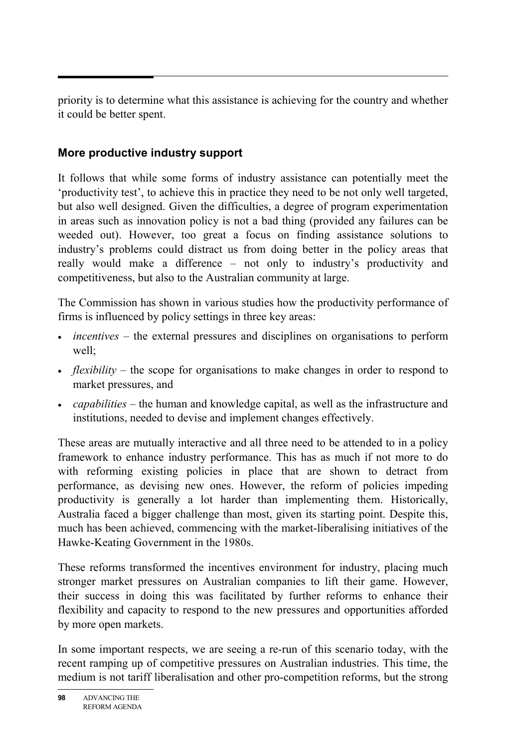priority is to determine what this assistance is achieving for the country and whether it could be better spent.

## **More productive industry support**

It follows that while some forms of industry assistance can potentially meet the 'productivity test', to achieve this in practice they need to be not only well targeted, but also well designed. Given the difficulties, a degree of program experimentation in areas such as innovation policy is not a bad thing (provided any failures can be weeded out). However, too great a focus on finding assistance solutions to industry's problems could distract us from doing better in the policy areas that really would make a difference – not only to industry's productivity and competitiveness, but also to the Australian community at large.

The Commission has shown in various studies how the productivity performance of firms is influenced by policy settings in three key areas:

- *incentives* the external pressures and disciplines on organisations to perform well;
- *flexibility* the scope for organisations to make changes in order to respond to market pressures, and
- *capabilities* the human and knowledge capital, as well as the infrastructure and institutions, needed to devise and implement changes effectively.

These areas are mutually interactive and all three need to be attended to in a policy framework to enhance industry performance. This has as much if not more to do with reforming existing policies in place that are shown to detract from performance, as devising new ones. However, the reform of policies impeding productivity is generally a lot harder than implementing them. Historically, Australia faced a bigger challenge than most, given its starting point. Despite this, much has been achieved, commencing with the market-liberalising initiatives of the Hawke-Keating Government in the 1980s.

These reforms transformed the incentives environment for industry, placing much stronger market pressures on Australian companies to lift their game. However, their success in doing this was facilitated by further reforms to enhance their flexibility and capacity to respond to the new pressures and opportunities afforded by more open markets.

In some important respects, we are seeing a re-run of this scenario today, with the recent ramping up of competitive pressures on Australian industries. This time, the medium is not tariff liberalisation and other pro-competition reforms, but the strong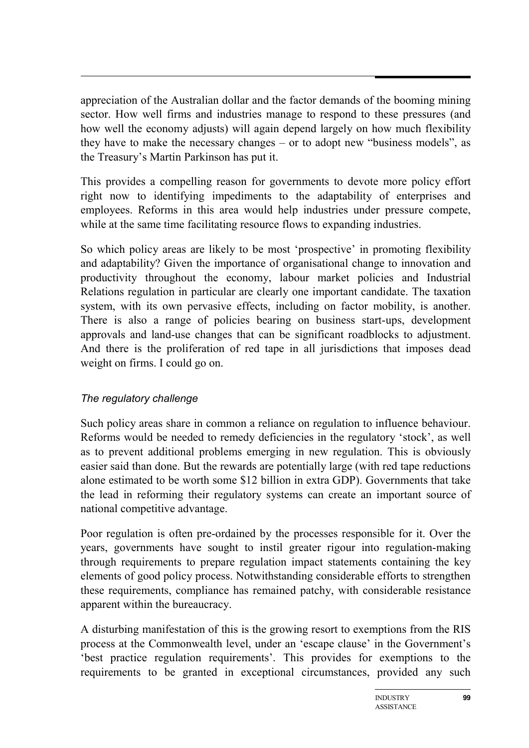appreciation of the Australian dollar and the factor demands of the booming mining sector. How well firms and industries manage to respond to these pressures (and how well the economy adjusts) will again depend largely on how much flexibility they have to make the necessary changes – or to adopt new "business models", as the Treasury's Martin Parkinson has put it.

This provides a compelling reason for governments to devote more policy effort right now to identifying impediments to the adaptability of enterprises and employees. Reforms in this area would help industries under pressure compete, while at the same time facilitating resource flows to expanding industries.

So which policy areas are likely to be most 'prospective' in promoting flexibility and adaptability? Given the importance of organisational change to innovation and productivity throughout the economy, labour market policies and Industrial Relations regulation in particular are clearly one important candidate. The taxation system, with its own pervasive effects, including on factor mobility, is another. There is also a range of policies bearing on business start-ups, development approvals and land-use changes that can be significant roadblocks to adjustment. And there is the proliferation of red tape in all jurisdictions that imposes dead weight on firms. I could go on.

### *The regulatory challenge*

Such policy areas share in common a reliance on regulation to influence behaviour. Reforms would be needed to remedy deficiencies in the regulatory 'stock', as well as to prevent additional problems emerging in new regulation. This is obviously easier said than done. But the rewards are potentially large (with red tape reductions alone estimated to be worth some \$12 billion in extra GDP). Governments that take the lead in reforming their regulatory systems can create an important source of national competitive advantage.

Poor regulation is often pre-ordained by the processes responsible for it. Over the years, governments have sought to instil greater rigour into regulation-making through requirements to prepare regulation impact statements containing the key elements of good policy process. Notwithstanding considerable efforts to strengthen these requirements, compliance has remained patchy, with considerable resistance apparent within the bureaucracy.

A disturbing manifestation of this is the growing resort to exemptions from the RIS process at the Commonwealth level, under an 'escape clause' in the Government's 'best practice regulation requirements'. This provides for exemptions to the requirements to be granted in exceptional circumstances, provided any such